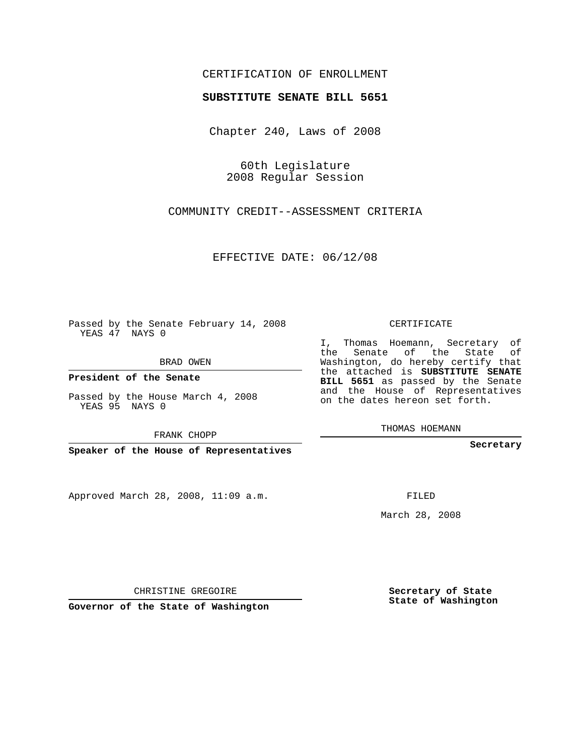## CERTIFICATION OF ENROLLMENT

### **SUBSTITUTE SENATE BILL 5651**

Chapter 240, Laws of 2008

60th Legislature 2008 Regular Session

COMMUNITY CREDIT--ASSESSMENT CRITERIA

EFFECTIVE DATE: 06/12/08

Passed by the Senate February 14, 2008 YEAS 47 NAYS 0

BRAD OWEN

**President of the Senate**

Passed by the House March 4, 2008 YEAS 95 NAYS 0

FRANK CHOPP

**Speaker of the House of Representatives**

Approved March 28, 2008, 11:09 a.m.

CERTIFICATE

I, Thomas Hoemann, Secretary of the Senate of the State of Washington, do hereby certify that the attached is **SUBSTITUTE SENATE BILL 5651** as passed by the Senate and the House of Representatives on the dates hereon set forth.

THOMAS HOEMANN

**Secretary**

FILED

March 28, 2008

**Secretary of State State of Washington**

CHRISTINE GREGOIRE

**Governor of the State of Washington**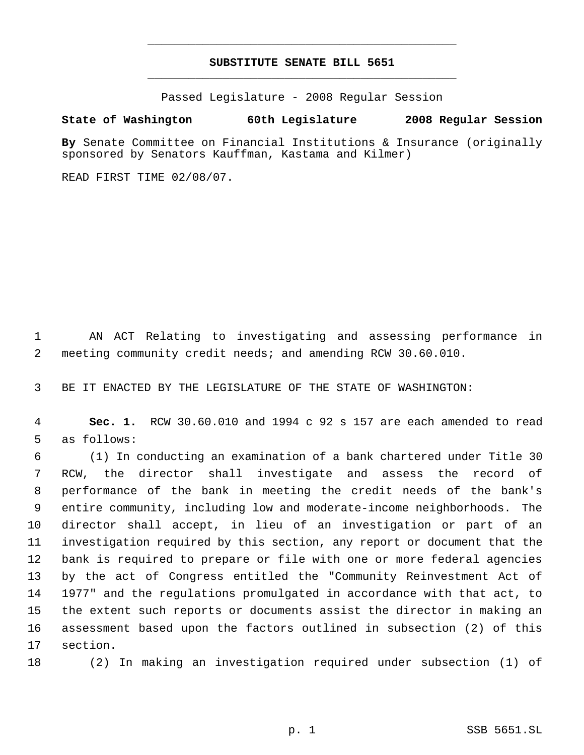# **SUBSTITUTE SENATE BILL 5651** \_\_\_\_\_\_\_\_\_\_\_\_\_\_\_\_\_\_\_\_\_\_\_\_\_\_\_\_\_\_\_\_\_\_\_\_\_\_\_\_\_\_\_\_\_

\_\_\_\_\_\_\_\_\_\_\_\_\_\_\_\_\_\_\_\_\_\_\_\_\_\_\_\_\_\_\_\_\_\_\_\_\_\_\_\_\_\_\_\_\_

Passed Legislature - 2008 Regular Session

### **State of Washington 60th Legislature 2008 Regular Session**

**By** Senate Committee on Financial Institutions & Insurance (originally sponsored by Senators Kauffman, Kastama and Kilmer)

READ FIRST TIME 02/08/07.

 AN ACT Relating to investigating and assessing performance in meeting community credit needs; and amending RCW 30.60.010.

BE IT ENACTED BY THE LEGISLATURE OF THE STATE OF WASHINGTON:

 **Sec. 1.** RCW 30.60.010 and 1994 c 92 s 157 are each amended to read as follows:

 (1) In conducting an examination of a bank chartered under Title 30 RCW, the director shall investigate and assess the record of performance of the bank in meeting the credit needs of the bank's entire community, including low and moderate-income neighborhoods. The director shall accept, in lieu of an investigation or part of an investigation required by this section, any report or document that the bank is required to prepare or file with one or more federal agencies by the act of Congress entitled the "Community Reinvestment Act of 1977" and the regulations promulgated in accordance with that act, to the extent such reports or documents assist the director in making an assessment based upon the factors outlined in subsection (2) of this section.

(2) In making an investigation required under subsection (1) of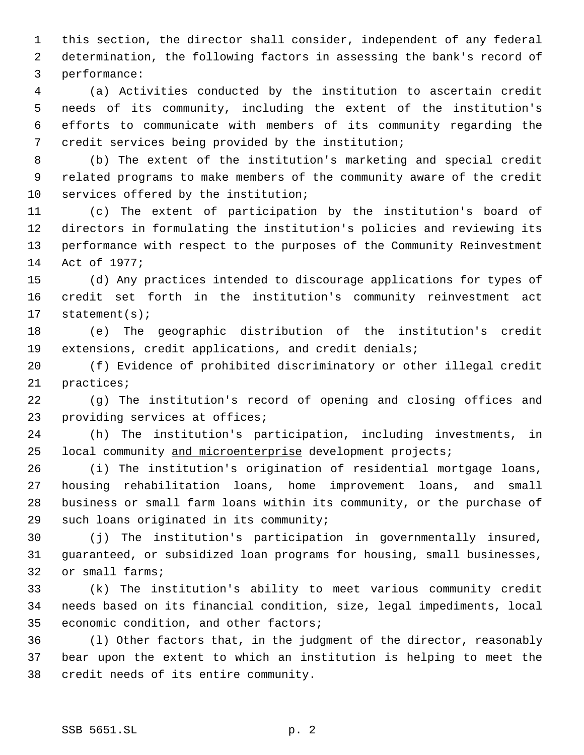this section, the director shall consider, independent of any federal determination, the following factors in assessing the bank's record of performance:

 (a) Activities conducted by the institution to ascertain credit needs of its community, including the extent of the institution's efforts to communicate with members of its community regarding the credit services being provided by the institution;

 (b) The extent of the institution's marketing and special credit related programs to make members of the community aware of the credit services offered by the institution;

 (c) The extent of participation by the institution's board of directors in formulating the institution's policies and reviewing its performance with respect to the purposes of the Community Reinvestment Act of 1977;

 (d) Any practices intended to discourage applications for types of credit set forth in the institution's community reinvestment act statement(s);

 (e) The geographic distribution of the institution's credit extensions, credit applications, and credit denials;

 (f) Evidence of prohibited discriminatory or other illegal credit practices;

 (g) The institution's record of opening and closing offices and providing services at offices;

 (h) The institution's participation, including investments, in 25 local community and microenterprise development projects;

 (i) The institution's origination of residential mortgage loans, housing rehabilitation loans, home improvement loans, and small business or small farm loans within its community, or the purchase of such loans originated in its community;

 (j) The institution's participation in governmentally insured, guaranteed, or subsidized loan programs for housing, small businesses, or small farms;

 (k) The institution's ability to meet various community credit needs based on its financial condition, size, legal impediments, local economic condition, and other factors;

 (l) Other factors that, in the judgment of the director, reasonably bear upon the extent to which an institution is helping to meet the credit needs of its entire community.